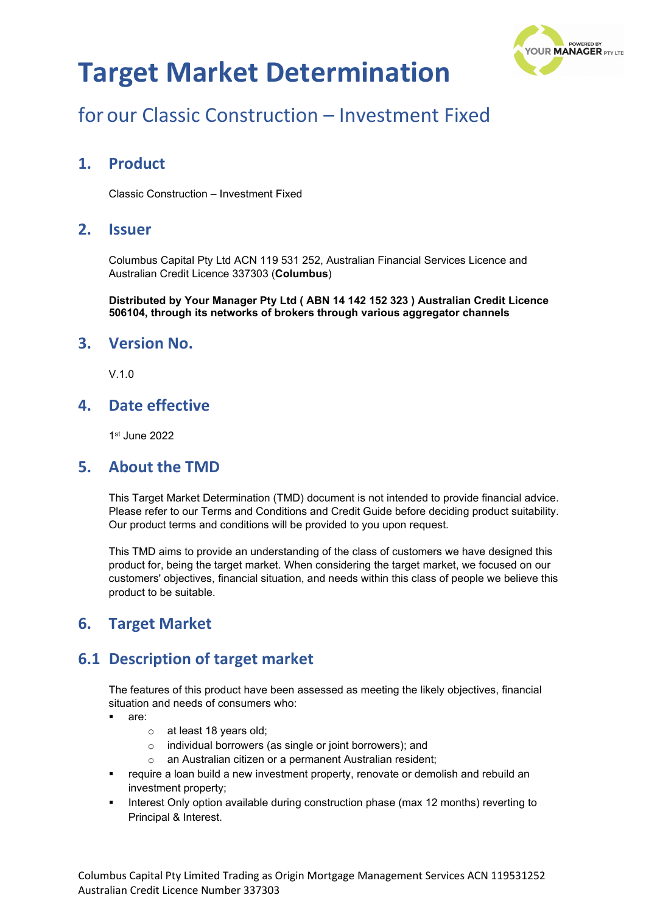

# for our Classic Construction – Investment Fixed

### **1. Product**

Classic Construction – Investment Fixed

### **2. Issuer**

Columbus Capital Pty Ltd ACN 119 531 252, Australian Financial Services Licence and Australian Credit Licence 337303 (**Columbus**)

**Distributed by Your Manager Pty Ltd ( ABN 14 142 152 323 ) Australian Credit Licence 506104, through its networks of brokers through various aggregator channels**

#### **3. Version No.**

V.1.0

### **4. Date effective**

1st June 2022

#### **5. About the TMD**

This Target Market Determination (TMD) document is not intended to provide financial advice. Please refer to our Terms and Conditions and Credit Guide before deciding product suitability. Our product terms and conditions will be provided to you upon request.

This TMD aims to provide an understanding of the class of customers we have designed this product for, being the target market. When considering the target market, we focused on our customers' objectives, financial situation, and needs within this class of people we believe this product to be suitable.

### **6. Target Market**

### **6.1 Description of target market**

The features of this product have been assessed as meeting the likely objectives, financial situation and needs of consumers who:

- are:
	- o at least 18 years old;
	- o individual borrowers (as single or joint borrowers); and
	- o an Australian citizen or a permanent Australian resident;
- require a loan build a new investment property, renovate or demolish and rebuild an investment property;
- Interest Only option available during construction phase (max 12 months) reverting to Principal & Interest.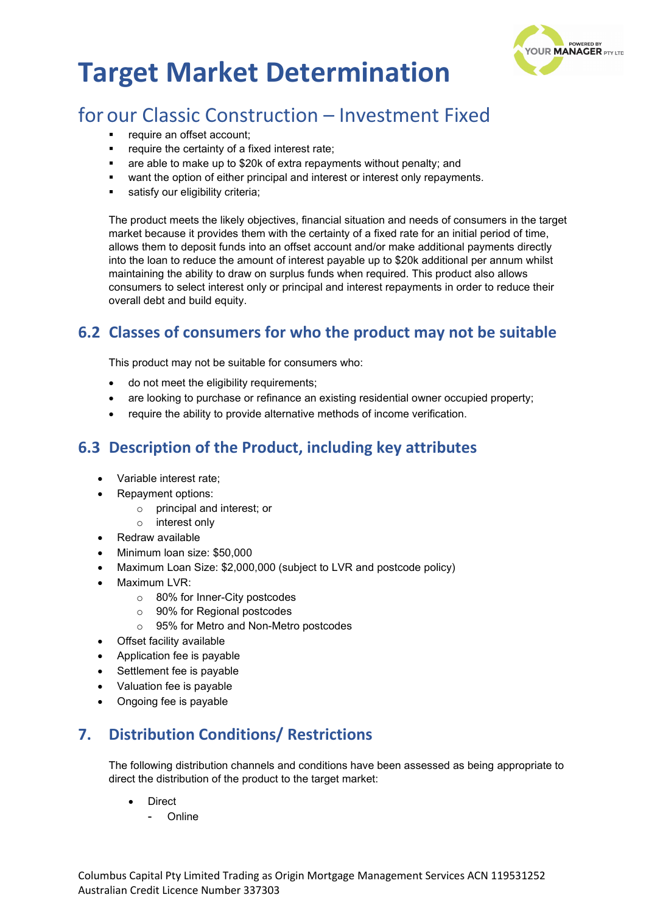

# for our Classic Construction – Investment Fixed

- require an offset account;
- **•** require the certainty of a fixed interest rate;
- are able to make up to \$20k of extra repayments without penalty; and
- want the option of either principal and interest or interest only repayments.
- satisfy our eligibility criteria;

The product meets the likely objectives, financial situation and needs of consumers in the target market because it provides them with the certainty of a fixed rate for an initial period of time, allows them to deposit funds into an offset account and/or make additional payments directly into the loan to reduce the amount of interest payable up to \$20k additional per annum whilst maintaining the ability to draw on surplus funds when required. This product also allows consumers to select interest only or principal and interest repayments in order to reduce their overall debt and build equity.

## **6.2 Classes of consumers for who the product may not be suitable**

This product may not be suitable for consumers who:

- do not meet the eligibility requirements;
- are looking to purchase or refinance an existing residential owner occupied property;
- require the ability to provide alternative methods of income verification.

## **6.3 Description of the Product, including key attributes**

- Variable interest rate;
- Repayment options:
	- o principal and interest; or
	- o interest only
- Redraw available
- Minimum loan size: \$50,000
- Maximum Loan Size: \$2,000,000 (subject to LVR and postcode policy)
- Maximum LVR:
	- o 80% for Inner-City postcodes
	- o 90% for Regional postcodes
	- o 95% for Metro and Non-Metro postcodes
- Offset facility available
- Application fee is payable
- Settlement fee is payable
- Valuation fee is payable
- Ongoing fee is payable

## **7. Distribution Conditions/ Restrictions**

The following distribution channels and conditions have been assessed as being appropriate to direct the distribution of the product to the target market:

- **Direct** 
	- Online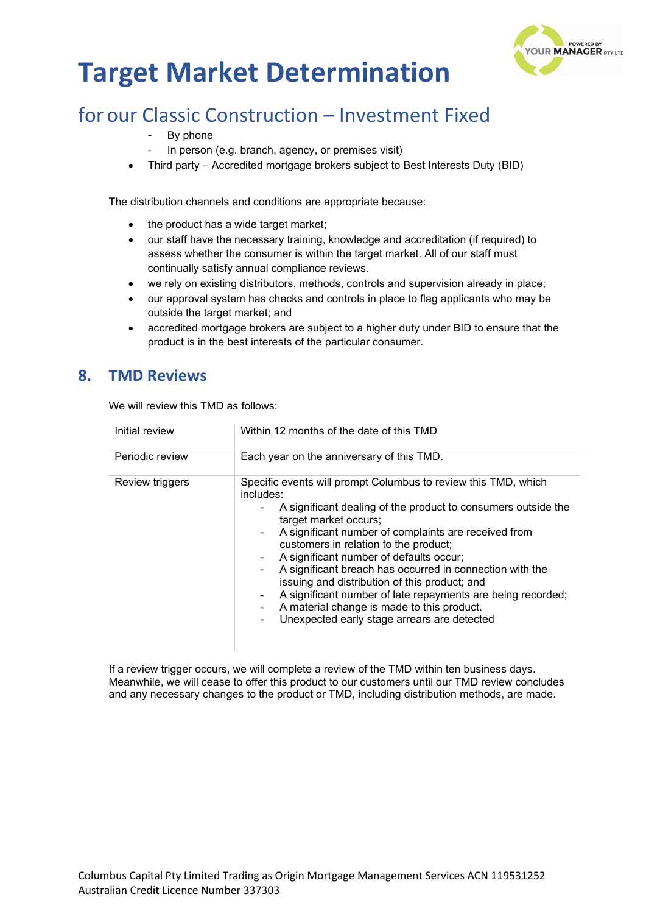

# for our Classic Construction – Investment Fixed

- By phone
- In person (e.g. branch, agency, or premises visit)
- Third party Accredited mortgage brokers subject to Best Interests Duty (BID)

The distribution channels and conditions are appropriate because:

- the product has a wide target market;
- our staff have the necessary training, knowledge and accreditation (if required) to assess whether the consumer is within the target market. All of our staff must continually satisfy annual compliance reviews.
- we rely on existing distributors, methods, controls and supervision already in place;
- our approval system has checks and controls in place to flag applicants who may be outside the target market; and
- accredited mortgage brokers are subject to a higher duty under BID to ensure that the product is in the best interests of the particular consumer.

#### **8. TMD Reviews**

We will review this TMD as follows:

| Initial review  | Within 12 months of the date of this TMD                                                                                                                                                                                                                                                                                                                                                                                                                                                                                                                                                                                          |  |
|-----------------|-----------------------------------------------------------------------------------------------------------------------------------------------------------------------------------------------------------------------------------------------------------------------------------------------------------------------------------------------------------------------------------------------------------------------------------------------------------------------------------------------------------------------------------------------------------------------------------------------------------------------------------|--|
| Periodic review | Each year on the anniversary of this TMD.                                                                                                                                                                                                                                                                                                                                                                                                                                                                                                                                                                                         |  |
| Review triggers | Specific events will prompt Columbus to review this TMD, which<br>includes:<br>A significant dealing of the product to consumers outside the<br>target market occurs;<br>A significant number of complaints are received from<br>$\blacksquare$<br>customers in relation to the product;<br>A significant number of defaults occur;<br>۰<br>A significant breach has occurred in connection with the<br>Ξ.<br>issuing and distribution of this product; and<br>A significant number of late repayments are being recorded;<br>۰<br>A material change is made to this product.<br>Unexpected early stage arrears are detected<br>۰ |  |

If a review trigger occurs, we will complete a review of the TMD within ten business days. Meanwhile, we will cease to offer this product to our customers until our TMD review concludes and any necessary changes to the product or TMD, including distribution methods, are made.